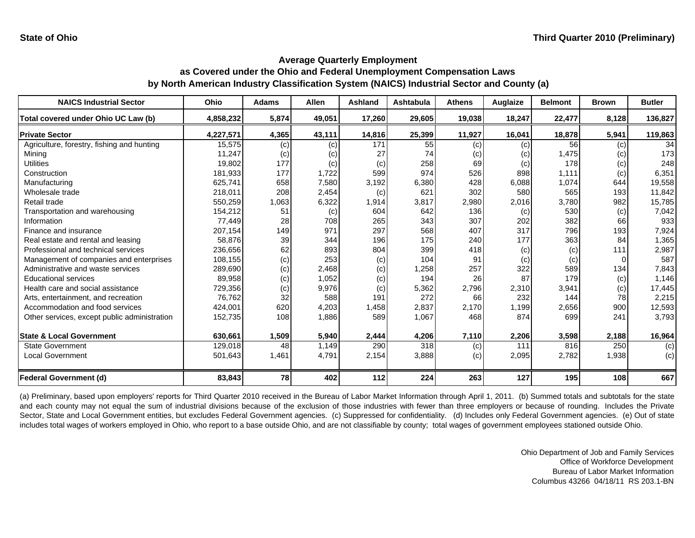| <b>NAICS Industrial Sector</b>               | <b>Ohio</b> | <b>Adams</b> | <b>Allen</b> | <b>Ashland</b> | Ashtabula | <b>Athens</b> | Auglaize  | <b>Belmont</b> | <b>Brown</b> | <b>Butler</b> |
|----------------------------------------------|-------------|--------------|--------------|----------------|-----------|---------------|-----------|----------------|--------------|---------------|
| Total covered under Ohio UC Law (b)          | 4,858,232   | 5,874        | 49,051       | 17,260         | 29,605    | 19,038        | 18,247    | 22,477         | 8,128        | 136,827       |
| <b>Private Sector</b>                        | 4,227,571   | 4,365        | 43,111       | 14,816         | 25,399    | 11,927        | 16,041    | 18,878         | 5,941        | 119,863       |
| Agriculture, forestry, fishing and hunting   | 15,575      | (c)          | (c)          | 171            | 55        | (c)           | (c)       | 56             | (c)          | 34            |
| Mining                                       | 11,247      | (c)          | (c)          | 27             | 74        | (c)           | $\left( $ | 1,475          | (c)          | 173           |
| <b>Utilities</b>                             | 19,802      | 177          | (c)          | (c)            | 258       | 69            | (c)       | 178            | (c)          | 248           |
| Construction                                 | 181,933     | 177          | 1,722        | 599            | 974       | 526           | 898       | 1,111          | (c)          | 6,351         |
| Manufacturing                                | 625,741     | 658          | 7,580        | 3,192          | 6,380     | 428           | 6,088     | 1,074          | 644          | 19,558        |
| Wholesale trade                              | 218,011     | 208          | 2,454        | (c)            | 621       | 302           | 580       | 565            | 193          | 11,842        |
| Retail trade                                 | 550,259     | 1,063        | 6,322        | 1,914          | 3,817     | 2,980         | 2,016     | 3,780          | 982          | 15,785        |
| Transportation and warehousing               | 154,212     | 51           | (c)          | 604            | 642       | 136           | (c)       | 530            | (c)          | 7,042         |
| Information                                  | 77,449      | 28           | 708          | 265            | 343       | 307           | 202       | 382            | 66           | 933           |
| Finance and insurance                        | 207,154     | 149          | 971          | 297            | 568       | 407           | 317       | 796            | 193          | 7,924         |
| Real estate and rental and leasing           | 58,876      | 39           | 344          | 196            | 175       | 240           | 177       | 363            | 84           | 1,365         |
| Professional and technical services          | 236,656     | 62           | 893          | 804            | 399       | 418           | (c)       | (c)            | 111          | 2,987         |
| Management of companies and enterprises      | 108,155     | (c)          | 253          | (c)            | 104       | 91            | (c)       | (c)            |              | 587           |
| Administrative and waste services            | 289,690     | (c)          | 2,468        | (c)            | 1,258     | 257           | 322       | 589            | 134          | 7,843         |
| <b>Educational services</b>                  | 89,958      | (c)          | 1,052        | (c)            | 194       | 26            | 87        | 179            | (c)          | 1,146         |
| Health care and social assistance            | 729,356     | (c)          | 9,976        | (c)            | 5,362     | 2,796         | 2,310     | 3,941          | (c)          | 17,445        |
| Arts, entertainment, and recreation          | 76.762      | 32           | 588          | 191            | 272       | 66            | 232       | 144            | 78           | 2,215         |
| Accommodation and food services              | 424,001     | 620          | 4,203        | 1,458          | 2,837     | 2,170         | 1,199     | 2,656          | 900          | 12,593        |
| Other services, except public administration | 152,735     | 108          | 1,886        | 589            | 1,067     | 468           | 874       | 699            | 241          | 3,793         |
| <b>State &amp; Local Government</b>          | 630,661     | 1,509        | 5,940        | 2,444          | 4,206     | 7,110         | 2,206     | 3,598          | 2,188        | 16,964        |
| <b>State Government</b>                      | 129,018     | 48           | 1,149        | 290            | 318       | (c)           | 111       | 816            | 250          | (c)           |
| <b>Local Government</b>                      | 501,643     | 1,461        | 4,791        | 2,154          | 3,888     | (c)           | 2,095     | 2,782          | 1,938        | (c)           |
| <b>Federal Government (d)</b>                | 83,843      | 78           | 402          | 112            | 224       | 263           | 127       | 195            | 108          | 667           |

(a) Preliminary, based upon employers' reports for Third Quarter 2010 received in the Bureau of Labor Market Information through April 1, 2011. (b) Summed totals and subtotals for the state and each county may not equal the sum of industrial divisions because of the exclusion of those industries with fewer than three employers or because of rounding. Includes the Private Sector, State and Local Government entities, but excludes Federal Government agencies. (c) Suppressed for confidentiality. (d) Includes only Federal Government agencies. (e) Out of state includes total wages of workers employed in Ohio, who report to a base outside Ohio, and are not classifiable by county; total wages of government employees stationed outside Ohio.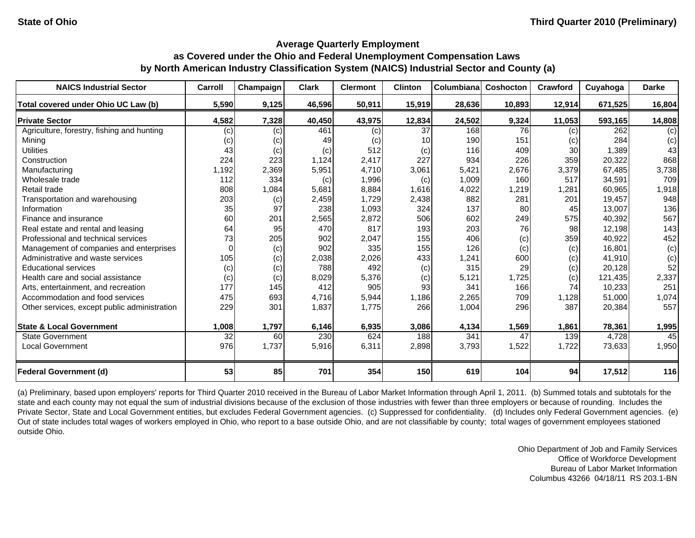| <b>NAICS Industrial Sector</b>               | Carroll  | Champaign | <b>Clark</b> | <b>Clermont</b> | <b>Clinton</b> | Columbiana | Coshocton | Crawford | Cuyahoga | <b>Darke</b> |
|----------------------------------------------|----------|-----------|--------------|-----------------|----------------|------------|-----------|----------|----------|--------------|
| Total covered under Ohio UC Law (b)          | 5,590    | 9,125     | 46,596       | 50,911          | 15,919         | 28,636     | 10,893    | 12,914   | 671,525  | 16,804       |
| <b>Private Sector</b>                        | 4,582    | 7,328     | 40,450       | 43,975          | 12,834         | 24,502     | 9,324     | 11,053   | 593,165  | 14,808       |
| Agriculture, forestry, fishing and hunting   | (c)      | (c)       | 461          | (c)             | 37             | 168        | 76        | (c)      | 262      | (c)          |
| Mining                                       | (c)      | (c)       | 49           | (c)             | 10             | 190        | 151       | (c)      | 284      | (c)          |
| <b>Utilities</b>                             | 43       | (c)       | (c)          | 512             | (c)            | 116        | 409       | 30       | 1,389    | 43           |
| Construction                                 | 224      | 223       | 1,124        | 2,417           | 227            | 934        | 226       | 359      | 20,322   | 868          |
| Manufacturing                                | 1,192    | 2,369     | 5,951        | 4,710           | 3,061          | 5,421      | 2,676     | 3,379    | 67,485   | 3,738        |
| Wholesale trade                              | 112      | 334       | (c)          | 1,996           | (c)            | 1,009      | 160       | 517      | 34,591   | 709          |
| Retail trade                                 | 808      | 1,084     | 5,681        | 8,884           | 1,616          | 4,022      | ,219      | 1,281    | 60,965   | 1,918        |
| Transportation and warehousing               | 203      | (c)       | 2,459        | 1,729           | 2,438          | 882        | 281       | 201      | 19,457   | 948          |
| Information                                  | 35       | 97        | 238          | 1,093           | 324            | 137        | 80        | 45       | 13,007   | 136          |
| Finance and insurance                        | 60       | 201       | 2,565        | 2,872           | 506            | 602        | 249       | 575      | 40,392   | 567          |
| Real estate and rental and leasing           | 64       | 95        | 470          | 817             | 193            | 203        | 76        | 98       | 12,198   | 143          |
| Professional and technical services          | 73       | 205       | 902          | 2,047           | 155            | 406        | (c)       | 359      | 40,922   | 452          |
| Management of companies and enterprises      | $\Omega$ | (c)       | 902          | 335             | 155            | 126        | (c)       | (c)      | 16.801   | (c)          |
| Administrative and waste services            | 105      | (c)       | 2,038        | 2,026           | 433            | 1,241      | 600       | (c)      | 41,910   | (c)          |
| <b>Educational services</b>                  | (c)      | (c)       | 788          | 492             | (c)            | 315        | 29        | (c)      | 20,128   | 52           |
| Health care and social assistance            | (c)      | (c)       | 8,029        | 5,376           | (c)            | 5,121      | 1,725     | (c)      | 121,435  | 2,337        |
| Arts, entertainment, and recreation          | 177      | 145       | 412          | 905             | 93             | 341        | 166       | 74       | 10,233   | 251          |
| Accommodation and food services              | 475      | 693       | 4,716        | 5,944           | 1,186          | 2,265      | 709       | 1,128    | 51,000   | 1,074        |
| Other services, except public administration | 229      | 301       | 1,837        | 1,775           | 266            | 1,004      | 296       | 387      | 20,384   | 557          |
| <b>State &amp; Local Government</b>          | 1,008    | 1,797     | 6,146        | 6,935           | 3,086          | 4,134      | 1,569     | 1,861    | 78,361   | 1,995        |
| <b>State Government</b>                      | 32       | 60        | 230          | 624             | 188            | 341        | 47        | 139      | 4,728    | 45           |
| <b>Local Government</b>                      | 976      | 1,737     | 5,916        | 6,311           | 2,898          | 3,793      | 1,522     | 1,722    | 73,633   | 1,950        |
| <b>Federal Government (d)</b>                | 53       | 85        | 701          | 354             | 150            | 619        | 104       | 94       | 17,512   | 116          |

(a) Preliminary, based upon employers' reports for Third Quarter 2010 received in the Bureau of Labor Market Information through April 1, 2011. (b) Summed totals and subtotals for the state and each county may not equal the sum of industrial divisions because of the exclusion of those industries with fewer than three employers or because of rounding. Includes the Private Sector, State and Local Government entities, but excludes Federal Government agencies. (c) Suppressed for confidentiality. (d) Includes only Federal Government agencies. (e) Out of state includes total wages of workers employed in Ohio, who report to a base outside Ohio, and are not classifiable by county; total wages of government employees stationed outside Ohio.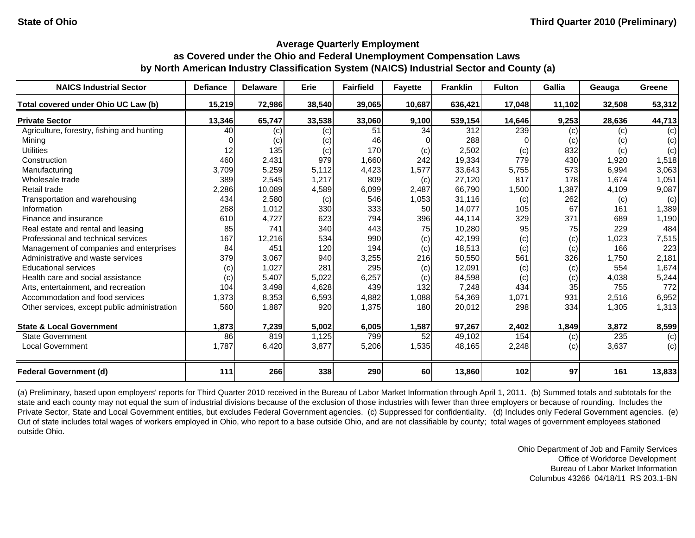| <b>NAICS Industrial Sector</b>               | <b>Defiance</b> | <b>Delaware</b> | <b>Erie</b> | <b>Fairfield</b> | <b>Fayette</b> | <b>Franklin</b> | <b>Fulton</b> | <b>Gallia</b> | Geauga | Greene |
|----------------------------------------------|-----------------|-----------------|-------------|------------------|----------------|-----------------|---------------|---------------|--------|--------|
| Total covered under Ohio UC Law (b)          | 15,219          | 72,986          | 38,540      | 39,065           | 10,687         | 636,421         | 17,048        | 11,102        | 32,508 | 53,312 |
| <b>Private Sector</b>                        | 13,346          | 65,747          | 33,538      | 33,060           | 9,100          | 539,154         | 14,646        | 9,253         | 28,636 | 44,713 |
| Agriculture, forestry, fishing and hunting   | 40              | (c)             | (c)         | 51               | 34             | 312             | 239           | (c)           | (c)    | (c)    |
| Minina                                       |                 | (c)             | (c)         | 46               |                | 288             |               | (c)           | (c)    | (c)    |
| <b>Utilities</b>                             | 12              | 135             | (c)         | 170              | (c)            | 2,502           | (c)           | 832           | (c)    | (c)    |
| Construction                                 | 460             | 2,431           | 979         | 1,660            | 242            | 19,334          | 779           | 430           | 1,920  | 1,518  |
| Manufacturing                                | 3,709           | 5,259           | 5,112       | 4,423            | 1,577          | 33,643          | 5,755         | 573           | 6,994  | 3,063  |
| Wholesale trade                              | 389             | 2,545           | 1,217       | 809              | (c)            | 27,120          | 817           | 178           | 1,674  | 1,051  |
| Retail trade                                 | 2,286           | 10,089          | 4,589       | 6,099            | 2,487          | 66,790          | 1,500         | 1,387         | 4,109  | 9,087  |
| Transportation and warehousing               | 434             | 2,580           | (c)         | 546              | 1,053          | 31,116          | (c)           | 262           | (c)    | (c)    |
| Information                                  | 268             | 1,012           | 330         | 333              | 50             | 14,077          | 105           | 67            | 161    | 1,389  |
| Finance and insurance                        | 610             | 4,727           | 623         | 794              | 396            | 44,114          | 329           | 371           | 689    | 1,190  |
| Real estate and rental and leasing           | 85              | 741             | 340         | 443              | 75             | 10,280          | 95            | 75            | 229    | 484    |
| Professional and technical services          | 167             | 12,216          | 534         | 990              | (c)            | 42,199          | (c)           | (c)           | 1,023  | 7,515  |
| Management of companies and enterprises      | 84              | 451             | 120         | 194              | (c)            | 18,513          | (c)           | (c)           | 166    | 223    |
| Administrative and waste services            | 379             | 3,067           | 940         | 3,255            | 216            | 50,550          | 561           | 326           | 1,750  | 2,181  |
| <b>Educational services</b>                  | (c)             | 1,027           | 281         | 295              | (c)            | 12,091          | (c)           | (c)           | 554    | 1,674  |
| Health care and social assistance            | (c)             | 5,407           | 5.022       | 6,257            | (c)            | 84,598          | (c)           | (c)           | 4,038  | 5,244  |
| Arts, entertainment, and recreation          | 104             | 3,498           | 4,628       | 439              | 132            | 7,248           | 434           | 35            | 755    | 772    |
| Accommodation and food services              | 1,373           | 8,353           | 6,593       | 4,882            | 1,088          | 54,369          | 1,071         | 931           | 2,516  | 6,952  |
| Other services, except public administration | 560             | 1,887           | 920         | 1,375            | 180            | 20,012          | 298           | 334           | 1,305  | 1,313  |
| <b>State &amp; Local Government</b>          | 1,873           | 7,239           | 5,002       | 6,005            | 1,587          | 97,267          | 2,402         | 1,849         | 3,872  | 8,599  |
| <b>State Government</b>                      | 86              | 819             | 1,125       | 799              | 52             | 49,102          | 154           | (c)           | 235    | (c)    |
| <b>Local Government</b>                      | 1,787           | 6,420           | 3,877       | 5,206            | 1,535          | 48,165          | 2,248         | (c)           | 3,637  | (c)    |
| <b>Federal Government (d)</b>                | 111             | 266             | 338         | 290              | 60             | 13,860          | 102           | 97            | 161    | 13,833 |

(a) Preliminary, based upon employers' reports for Third Quarter 2010 received in the Bureau of Labor Market Information through April 1, 2011. (b) Summed totals and subtotals for the state and each county may not equal the sum of industrial divisions because of the exclusion of those industries with fewer than three employers or because of rounding. Includes the Private Sector, State and Local Government entities, but excludes Federal Government agencies. (c) Suppressed for confidentiality. (d) Includes only Federal Government agencies. (e) Out of state includes total wages of workers employed in Ohio, who report to a base outside Ohio, and are not classifiable by county; total wages of government employees stationed outside Ohio.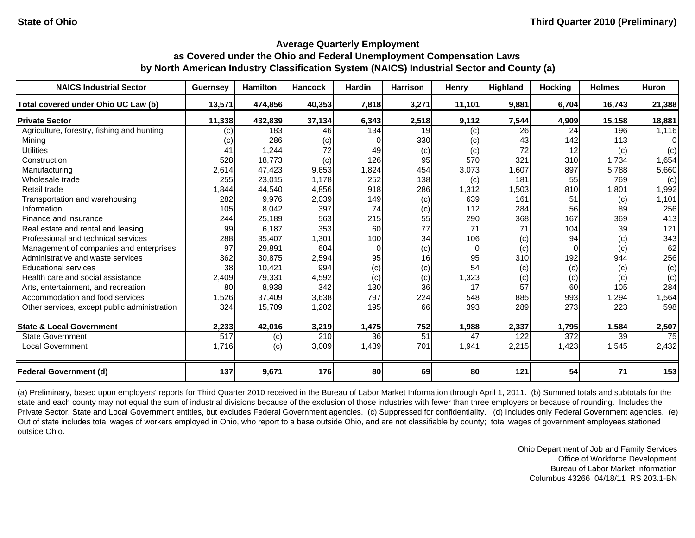| <b>NAICS Industrial Sector</b>               | <b>Guernsey</b> | <b>Hamilton</b> | <b>Hancock</b> | <b>Hardin</b> | <b>Harrison</b> | Henry    | Highland | <b>Hocking</b> | <b>Holmes</b> | <b>Huron</b> |
|----------------------------------------------|-----------------|-----------------|----------------|---------------|-----------------|----------|----------|----------------|---------------|--------------|
| Total covered under Ohio UC Law (b)          | 13,571          | 474,856         | 40,353         | 7,818         | 3,271           | 11,101   | 9,881    | 6,704          | 16,743        | 21,388       |
| <b>Private Sector</b>                        | 11,338          | 432,839         | 37,134         | 6,343         | 2,518           | 9,112    | 7,544    | 4,909          | 15,158        | 18,881       |
| Agriculture, forestry, fishing and hunting   | (c)             | 183             | 46             | 134           | 19              | (c)      | 26       | 24             | 196           | 1,116        |
| Mining                                       | (c)             | 286             | (c)            |               | 330             | (c)      | 43       | 142            | 113           | $\Omega$     |
| <b>Utilities</b>                             | 41              | 1,244           | 72             | 49            | (c)             | (c)      | 72       | 12             | (c)           | (c)          |
| Construction                                 | 528             | 18,773          | (c)            | 126           | 95              | 570      | 321      | 310            | 1,734         | 1,654        |
| Manufacturing                                | 2,614           | 47,423          | 9,653          | 1,824         | 454             | 3,073    | 1,607    | 897            | 5,788         | 5,660        |
| Wholesale trade                              | 255             | 23,015          | 1,178          | 252           | 138             | (c)      | 181      | 55             | 769           | (c)          |
| Retail trade                                 | 1,844           | 44,540          | 4,856          | 918           | 286             | 1,312    | 1,503    | 810            | 1,801         | 1,992        |
| Transportation and warehousing               | 282             | 9,976           | 2,039          | 149           | (c)             | 639      | 161      | 51             | (c)           | 1,101        |
| Information                                  | 105             | 8,042           | 397            | 74            | (c)             | 112      | 284      | 56             | 89            | 256          |
| Finance and insurance                        | 244             | 25,189          | 563            | 215           | 55              | 290      | 368      | 167            | 369           | 413          |
| Real estate and rental and leasing           | 99              | 6,187           | 353            | 60            | 77              | 71       | 71       | 104            | 39            | 121          |
| Professional and technical services          | 288             | 35,407          | 1,301          | 100           | 34              | 106      | (c)      | 94             | (c)           | 343          |
| Management of companies and enterprises      | 97              | 29,891          | 604            | $\Omega$      | (c)             | $\Omega$ | (c)      | $\Omega$       | (c)           | 62           |
| Administrative and waste services            | 362             | 30,875          | 2,594          | 95            | 16              | 95       | 310      | 192            | 944           | 256          |
| <b>Educational services</b>                  | 38              | 10,421          | 994            | (c)           | (c)             | 54       | (c)      | (c)            | (c)           | (c)          |
| Health care and social assistance            | 2,409           | 79,331          | 4,592          | (c)           | (c)             | 1,323    | (c)      | (c)            | (c)           | (c)          |
| Arts, entertainment, and recreation          | 80              | 8,938           | 342            | 130           | 36              | 17       | 57       | 60             | 105           | 284          |
| Accommodation and food services              | 1,526           | 37,409          | 3,638          | 797           | 224             | 548      | 885      | 993            | 1,294         | 1,564        |
| Other services, except public administration | 324             | 15,709          | 1,202          | 195           | 66              | 393      | 289      | 273            | 223           | 598          |
| <b>State &amp; Local Government</b>          | 2,233           | 42,016          | 3,219          | 1,475         | 752             | 1,988    | 2,337    | 1,795          | 1,584         | 2,507        |
| <b>State Government</b>                      | 517             | (c)             | 210            | 36            | 51              | 47       | 122      | 372            | 39            | 75           |
| <b>Local Government</b>                      | 1,716           | (c)             | 3,009          | 1,439         | 701             | 1,941    | 2,215    | 1,423          | 1,545         | 2,432        |
| <b>Federal Government (d)</b>                | 137             | 9,671           | 176            | 80            | 69              | 80       | 121      | 54             | 71            | 153          |

(a) Preliminary, based upon employers' reports for Third Quarter 2010 received in the Bureau of Labor Market Information through April 1, 2011. (b) Summed totals and subtotals for the state and each county may not equal the sum of industrial divisions because of the exclusion of those industries with fewer than three employers or because of rounding. Includes the Private Sector, State and Local Government entities, but excludes Federal Government agencies. (c) Suppressed for confidentiality. (d) Includes only Federal Government agencies. (e) Out of state includes total wages of workers employed in Ohio, who report to a base outside Ohio, and are not classifiable by county; total wages of government employees stationed outside Ohio.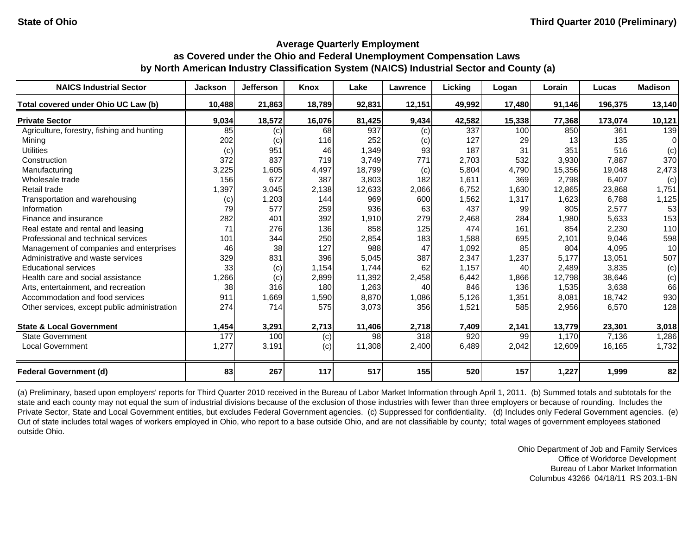| <b>NAICS Industrial Sector</b>               | <b>Jackson</b> | <b>Jefferson</b> | Knox   | Lake   | Lawrence         | Licking | Logan  | Lorain | Lucas   | <b>Madison</b> |
|----------------------------------------------|----------------|------------------|--------|--------|------------------|---------|--------|--------|---------|----------------|
| Total covered under Ohio UC Law (b)          | 10,488         | 21,863           | 18,789 | 92,831 | 12,151           | 49,992  | 17,480 | 91,146 | 196,375 | 13,140         |
| <b>Private Sector</b>                        | 9,034          | 18,572           | 16,076 | 81,425 | 9,434            | 42,582  | 15,338 | 77,368 | 173,074 | 10,121         |
| Agriculture, forestry, fishing and hunting   | 85             | (c)              | 68     | 937    | (c)              | 337     | 100    | 850    | 361     | 139            |
| Mining                                       | 202            | (c)              | 116    | 252    | (c)              | 127     | 29     | 13     | 135     | $\Omega$       |
| <b>Utilities</b>                             | (c)            | 951              | 46     | 1,349  | 93               | 187     | 31     | 351    | 516     | (c)            |
| Construction                                 | 372            | 837              | 719    | 3,749  | 771              | 2,703   | 532    | 3,930  | 7,887   | 370            |
| Manufacturing                                | 3,225          | 1,605            | 4,497  | 18,799 | (c)              | 5,804   | 4,790  | 15,356 | 19,048  | 2,473          |
| Wholesale trade                              | 156            | 672              | 387    | 3,803  | 182              | 1,611   | 369    | 2,798  | 6,407   | (c)            |
| Retail trade                                 | 1,397          | 3,045            | 2,138  | 12,633 | 2,066            | 6,752   | 1,630  | 12,865 | 23,868  | 1,751          |
| Transportation and warehousing               | (c)            | 1,203            | 144    | 969    | 600              | 1,562   | 1,317  | 1,623  | 6,788   | 1,125          |
| Information                                  | 79             | 577              | 259    | 936    | 63               | 437     | 99     | 805    | 2,577   | 53             |
| Finance and insurance                        | 282            | 401              | 392    | 1,910  | 279              | 2,468   | 284    | 1,980  | 5,633   | 153            |
| Real estate and rental and leasing           | 71             | 276              | 136    | 858    | 125              | 474     | 161    | 854    | 2,230   | 110            |
| Professional and technical services          | 101            | 344              | 250    | 2,854  | 183              | 1,588   | 695    | 2,101  | 9,046   | 598            |
| Management of companies and enterprises      | 46             | 38               | 127    | 988    | 47               | 1,092   | 85     | 804    | 4,095   | 10             |
| Administrative and waste services            | 329            | 831              | 396    | 5,045  | 387              | 2,347   | 1,237  | 5.177  | 13.051  | 507            |
| <b>Educational services</b>                  | 33             | (c)              | 1,154  | 1,744  | 62               | 1,157   | 40     | 2,489  | 3,835   | (c)            |
| Health care and social assistance            | 1,266          | (c)              | 2,899  | 11,392 | 2,458            | 6,442   | 1,866  | 12,798 | 38,646  | (c)            |
| Arts, entertainment, and recreation          | 38             | 316              | 180    | 1,263  | 40               | 846     | 136    | 1,535  | 3,638   | 66             |
| Accommodation and food services              | 911            | 1,669            | 1,590  | 8,870  | 1,086            | 5,126   | 1,351  | 8,081  | 18,742  | 930            |
| Other services, except public administration | 274            | 714              | 575    | 3,073  | 356              | 1,521   | 585    | 2,956  | 6,570   | 128            |
| <b>State &amp; Local Government</b>          | 1,454          | 3,291            | 2,713  | 11,406 | 2,718            | 7,409   | 2,141  | 13,779 | 23,301  | 3,018          |
| <b>State Government</b>                      | 177            | 100              | (c)    | 98     | $\overline{318}$ | 920     | 99     | 1,170  | 7,136   | 1,286          |
| <b>Local Government</b>                      | 1,277          | 3,191            | (c)    | 11,308 | 2,400            | 6,489   | 2,042  | 12,609 | 16,165  | 1,732          |
| <b>Federal Government (d)</b>                | 83             | 267              | 117    | 517    | 155              | 520     | 157    | 1,227  | 1,999   | 82             |

(a) Preliminary, based upon employers' reports for Third Quarter 2010 received in the Bureau of Labor Market Information through April 1, 2011. (b) Summed totals and subtotals for the state and each county may not equal the sum of industrial divisions because of the exclusion of those industries with fewer than three employers or because of rounding. Includes the Private Sector, State and Local Government entities, but excludes Federal Government agencies. (c) Suppressed for confidentiality. (d) Includes only Federal Government agencies. (e) Out of state includes total wages of workers employed in Ohio, who report to a base outside Ohio, and are not classifiable by county; total wages of government employees stationed outside Ohio.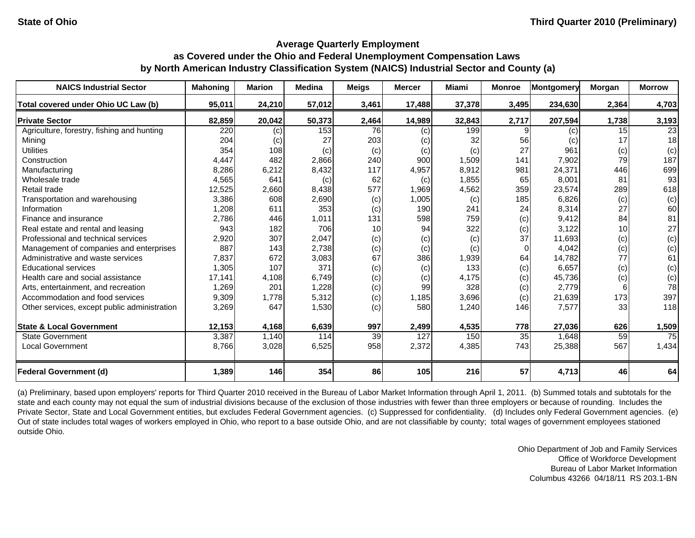| <b>NAICS Industrial Sector</b>               | <b>Mahoning</b> | <b>Marion</b> | <b>Medina</b> | <b>Meigs</b> | <b>Mercer</b> | Miami  | <b>Monroe</b> | <b>Montgomery</b> | Morgan          | <b>Morrow</b> |
|----------------------------------------------|-----------------|---------------|---------------|--------------|---------------|--------|---------------|-------------------|-----------------|---------------|
| Total covered under Ohio UC Law (b)          | 95,011          | 24,210        | 57,012        | 3,461        | 17,488        | 37,378 | 3,495         | 234,630           | 2,364           | 4,703         |
| <b>Private Sector</b>                        | 82,859          | 20,042        | 50,373        | 2,464        | 14,989        | 32,843 | 2,717         | 207,594           | 1,738           | 3,193         |
| Agriculture, forestry, fishing and hunting   | 220             | (c)           | 153           | 76           | (c)           | 199    |               | (c)               | 15 <sup>1</sup> | 23            |
| Mining                                       | 204             | (c)           | 27            | 203          | (c)           | 32     | 56            | (c)               | 17              | 18            |
| <b>Utilities</b>                             | 354             | 108           | (c)           | (c)          | (c)           | (c)    | 27            | 961               | (c)             | (c)           |
| Construction                                 | 4,447           | 482           | 2,866         | 240          | 900           | 1,509  | 141           | 7,902             | 79              | 187           |
| Manufacturing                                | 8,286           | 6,212         | 8,432         | 117          | 4,957         | 8,912  | 981           | 24,371            | 446             | 699           |
| Wholesale trade                              | 4,565           | 641           | (c)           | 62           | (c)           | 1,855  | 65            | 8,001             | 81              | 93            |
| Retail trade                                 | 12,525          | 2,660         | 8,438         | 577          | 1,969         | 4,562  | 359           | 23,574            | 289             | 618           |
| Transportation and warehousing               | 3,386           | 608           | 2,690         | (c)          | 1,005         | (c)    | 185           | 6,826             | (c)             | (c)           |
| Information                                  | 1,208           | 611           | 353           | (c)          | 190           | 241    | 24            | 8,314             | 27              | 60            |
| Finance and insurance                        | 2,786           | 446           | 1,011         | 131          | 598           | 759    | (c)           | 9,412             | 84              | 81            |
| Real estate and rental and leasing           | 943             | 182           | 706           | 10           | 94            | 322    | (c)           | 3,122             | 10              | 27            |
| Professional and technical services          | 2,920           | 307           | 2,047         | (c)          | (c)           | (c)    | 37            | 11,693            | (c)             | (c)           |
| Management of companies and enterprises      | 887             | 143           | 2,738         | (c)          | (c)           | (c)    | $\Omega$      | 4,042             | (c)             | (c)           |
| Administrative and waste services            | 7,837           | 672           | 3,083         | 67           | 386           | 1,939  | 64            | 14,782            | 77              | 61            |
| <b>Educational services</b>                  | 1,305           | 107           | 371           | (c)          | (c)           | 133    | (c)           | 6,657             | (c)             | (c)           |
| Health care and social assistance            | 17,141          | 4,108         | 6,749         | (c)          | (c)           | 4,175  | (c)           | 45,736            | (c)             | (c)           |
| Arts, entertainment, and recreation          | 1,269           | 201           | 1,228         | (c)          | 99            | 328    | (c)           | 2,779             |                 | 78            |
| Accommodation and food services              | 9,309           | 1,778         | 5,312         | (c)          | 1,185         | 3,696  | (c)           | 21,639            | 173             | 397           |
| Other services, except public administration | 3,269           | 647           | 1,530         | (c)          | 580           | 1,240  | 146           | 7,577             | 33              | 118           |
| <b>State &amp; Local Government</b>          | 12,153          | 4,168         | 6,639         | 997          | 2,499         | 4,535  | 778           | 27,036            | 626             | 1,509         |
| <b>State Government</b>                      | 3,387           | 1,140         | 114           | 39           | 127           | 150    | 35            | 1,648             | 59              | 75            |
| Local Government                             | 8,766           | 3,028         | 6,525         | 958          | 2,372         | 4,385  | 743           | 25,388            | 567             | 1,434         |
| <b>Federal Government (d)</b>                | 1,389           | 146           | 354           | 86           | 105           | 216    | 57            | 4,713             | 46              | 64            |

(a) Preliminary, based upon employers' reports for Third Quarter 2010 received in the Bureau of Labor Market Information through April 1, 2011. (b) Summed totals and subtotals for the state and each county may not equal the sum of industrial divisions because of the exclusion of those industries with fewer than three employers or because of rounding. Includes the Private Sector, State and Local Government entities, but excludes Federal Government agencies. (c) Suppressed for confidentiality. (d) Includes only Federal Government agencies. (e) Out of state includes total wages of workers employed in Ohio, who report to a base outside Ohio, and are not classifiable by county; total wages of government employees stationed outside Ohio.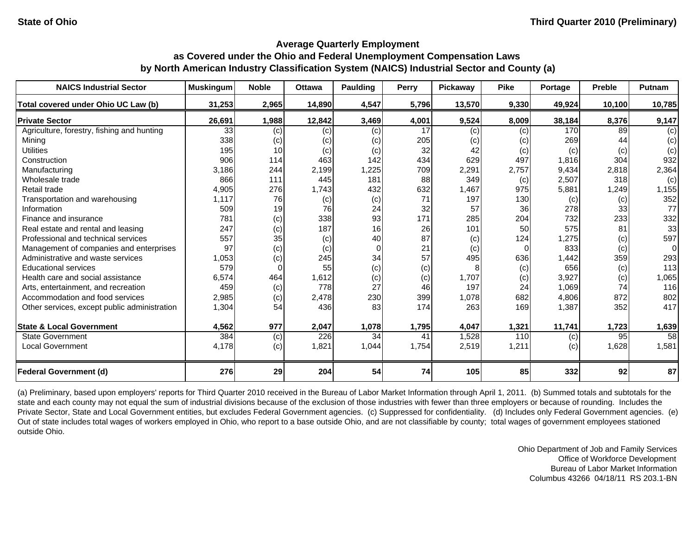| <b>NAICS Industrial Sector</b>               | <b>Muskingum</b> | <b>Noble</b> | <b>Ottawa</b> | Paulding | Perry | Pickaway | <b>Pike</b> | Portage | <b>Preble</b> | Putnam   |
|----------------------------------------------|------------------|--------------|---------------|----------|-------|----------|-------------|---------|---------------|----------|
| Total covered under Ohio UC Law (b)          | 31,253           | 2,965        | 14,890        | 4,547    | 5,796 | 13,570   | 9,330       | 49,924  | 10,100        | 10,785   |
| <b>Private Sector</b>                        | 26,691           | 1,988        | 12,842        | 3,469    | 4,001 | 9,524    | 8,009       | 38,184  | 8,376         | 9,147    |
| Agriculture, forestry, fishing and hunting   | 33               | (c)          | (c)           | (c)      | 17    | (c)      | (c)         | 170     | 89            | (c)      |
| Mining                                       | 338              | (c)          | (c)           | (c)      | 205   | (c)      | (c)         | 269     | 44            | (c)      |
| <b>Utilities</b>                             | 195              | 10           | (c)           | (c)      | 32    | 42       | (c)         | (c)     | (c)           | (c)      |
| Construction                                 | 906              | 114          | 463           | 142      | 434   | 629      | 497         | 1,816   | 304           | 932      |
| Manufacturing                                | 3,186            | 244          | 2,199         | 1,225    | 709   | 2,291    | 2,757       | 9,434   | 2,818         | 2,364    |
| Wholesale trade                              | 866              | 111          | 445           | 181      | 88    | 349      | (c)         | 2,507   | 318           | (c)      |
| Retail trade                                 | 4,905            | 276          | 1,743         | 432      | 632   | 1,467    | 975         | 5,881   | 1,249         | 1,155    |
| Transportation and warehousing               | 1,117            | 76           | (c)           | (c)      | 71    | 197      | 130         | (c)     | (c)           | 352      |
| Information                                  | 509              | 19           | 76            | 24       | 32    | 57       | 36          | 278     | 33            | 77       |
| Finance and insurance                        | 781              | (c)          | 338           | 93       | 171   | 285      | 204         | 732     | 233           | 332      |
| Real estate and rental and leasing           | 247              | (c)          | 187           | 16       | 26    | 101      | 50          | 575     | 81            | 33       |
| Professional and technical services          | 557              | 35           | (c)           | 40       | 87    | (c)      | 124         | .275    | (c)           | 597      |
| Management of companies and enterprises      | 97               | (c)          | (c)           | $\Omega$ | 21    | (c)      | 0           | 833     | (c)           | $\Omega$ |
| Administrative and waste services            | 1,053            | (c)          | 245           | 34       | 57    | 495      | 636         | 1,442   | 359           | 293      |
| <b>Educational services</b>                  | 579              |              | 55            | (c)      | (c)   |          | (c)         | 656     | (c)           | 113      |
| Health care and social assistance            | 6,574            | 464          | 1,612         | (c)      | (c)   | 1,707    | (c)         | 3,927   | (c)           | 1,065    |
| Arts, entertainment, and recreation          | 459              | (c)          | 778           | 27       | 46    | 197      | 24          | 1,069   | 74            | 116      |
| Accommodation and food services              | 2,985            | (c)          | 2,478         | 230      | 399   | 1,078    | 682         | 4,806   | 872           | 802      |
| Other services, except public administration | 1,304            | 54           | 436           | 83       | 174   | 263      | 169         | 1,387   | 352           | 417      |
| <b>State &amp; Local Government</b>          | 4,562            | 977          | 2,047         | 1,078    | 1,795 | 4,047    | 1,321       | 11,741  | 1,723         | 1,639    |
| State Government                             | 384              | (c)          | 226           | 34       | 41    | 1,528    | 110         | (c)     | 95            | 58       |
| <b>Local Government</b>                      | 4,178            | (c)          | 1,821         | 1,044    | 1,754 | 2,519    | 1,211       | (c)     | 1,628         | 1,581    |
| <b>Federal Government (d)</b>                | 276              | 29           | 204           | 54       | 74    | 105      | 85          | 332     | 92            | 87       |

(a) Preliminary, based upon employers' reports for Third Quarter 2010 received in the Bureau of Labor Market Information through April 1, 2011. (b) Summed totals and subtotals for the state and each county may not equal the sum of industrial divisions because of the exclusion of those industries with fewer than three employers or because of rounding. Includes the Private Sector, State and Local Government entities, but excludes Federal Government agencies. (c) Suppressed for confidentiality. (d) Includes only Federal Government agencies. (e) Out of state includes total wages of workers employed in Ohio, who report to a base outside Ohio, and are not classifiable by county; total wages of government employees stationed outside Ohio.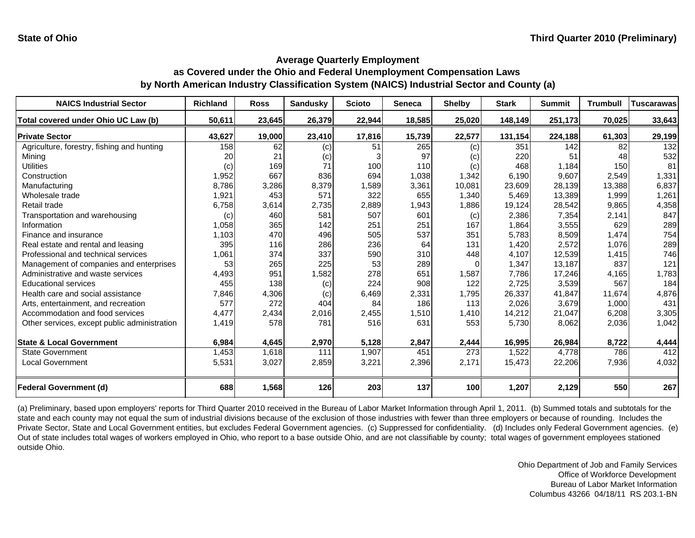| <b>NAICS Industrial Sector</b>               | <b>Richland</b> | <b>Ross</b> | <b>Sandusky</b> | <b>Scioto</b> | <b>Seneca</b> | <b>Shelby</b>    | <b>Stark</b> | <b>Summit</b> | <b>Trumbull</b> | Tuscarawas |
|----------------------------------------------|-----------------|-------------|-----------------|---------------|---------------|------------------|--------------|---------------|-----------------|------------|
| Total covered under Ohio UC Law (b)          | 50,611          | 23,645      | 26,379          | 22,944        | 18,585        | 25,020           | 148,149      | 251,173       | 70,025          | 33,643     |
| <b>Private Sector</b>                        | 43,627          | 19,000      | 23,410          | 17,816        | 15,739        | 22,577           | 131,154      | 224,188       | 61,303          | 29,199     |
| Agriculture, forestry, fishing and hunting   | 158             | 62          | (c)             | 51            | 265           | (c)              | 351          | 142           | 82              | 132        |
| Mining                                       | 20              | 21          | (c)             |               | 97            | (c)              | 220          | 51            | 48              | 532        |
| <b>Utilities</b>                             | (c)             | 169         | 71              | 100           | 110           | (c)              | 468          | 1,184         | 150             | 81         |
| Construction                                 | 1,952           | 667         | 836             | 694           | 1,038         | 1,342            | 6,190        | 9,607         | 2,549           | 1,331      |
| Manufacturing                                | 8,786           | 3,286       | 8,379           | 1,589         | 3,361         | 10,081           | 23,609       | 28,139        | 13,388          | 6,837      |
| Wholesale trade                              | 1,921           | 453         | 571             | 322           | 655           | 1,340            | 5,469        | 13,389        | 1,999           | 1,261      |
| Retail trade                                 | 6,758           | 3,614       | 2,735           | 2,889         | 1,943         | 1,886            | 19,124       | 28,542        | 9,865           | 4,358      |
| Transportation and warehousing               | (c)             | 460         | 581             | 507           | 601           | (c)              | 2,386        | 7,354         | 2,141           | 847        |
| Information                                  | 1,058           | 365         | 142             | 251           | 251           | 167              | 1,864        | 3,555         | 629             | 289        |
| Finance and insurance                        | 1,103           | 470         | 496             | 505           | 537           | 351              | 5,783        | 8,509         | 1,474           | 754        |
| Real estate and rental and leasing           | 395             | 116         | 286             | 236           | 64            | 131              | 1,420        | 2,572         | 1,076           | 289        |
| Professional and technical services          | 1,061           | 374         | 337             | 590           | 310           | 448              | 4,107        | 12,539        | 1,415           | 746        |
| Management of companies and enterprises      | 53              | 265         | 225             | 53            | 289           |                  | 1,347        | 13,187        | 837             | 121        |
| Administrative and waste services            | 4,493           | 951         | 1,582           | 278           | 651           | 1,587            | 7,786        | 17,246        | 4,165           | 1,783      |
| <b>Educational services</b>                  | 455             | 138         | (c)             | 224           | 908           | 122              | 2,725        | 3,539         | 567             | 184        |
| Health care and social assistance            | 7,846           | 4,306       | (c)             | 6,469         | 2,331         | 1,795            | 26,337       | 41,847        | 11,674          | 4,876      |
| Arts, entertainment, and recreation          | 577             | 272         | 404             | 84            | 186           | 113              | 2,026        | 3,679         | 1,000           | 431        |
| Accommodation and food services              | 4,477           | 2,434       | 2,016           | 2,455         | 1,510         | 1,410            | 14,212       | 21,047        | 6,208           | 3,305      |
| Other services, except public administration | 1,419           | 578         | 781             | 516           | 631           | 553              | 5,730        | 8,062         | 2,036           | 1,042      |
| <b>State &amp; Local Government</b>          | 6,984           | 4,645       | 2,970           | 5,128         | 2,847         | 2,444            | 16,995       | 26,984        | 8,722           | 4,444      |
| <b>State Government</b>                      | 1,453           | 1,618       | 111             | 1,907         | 451           | $\overline{273}$ | 1,522        | 4,778         | 786             | 412        |
| <b>Local Government</b>                      | 5,531           | 3,027       | 2,859           | 3,221         | 2,396         | 2,171            | 15,473       | 22,206        | 7,936           | 4,032      |
|                                              |                 |             |                 |               |               |                  |              |               |                 |            |
| <b>Federal Government (d)</b>                | 688             | 1,568       | 126             | 203           | 137           | 100              | 1,207        | 2,129         | 550             | 267        |

(a) Preliminary, based upon employers' reports for Third Quarter 2010 received in the Bureau of Labor Market Information through April 1, 2011. (b) Summed totals and subtotals for the state and each county may not equal the sum of industrial divisions because of the exclusion of those industries with fewer than three employers or because of rounding. Includes the Private Sector, State and Local Government entities, but excludes Federal Government agencies. (c) Suppressed for confidentiality. (d) Includes only Federal Government agencies. (e) Out of state includes total wages of workers employed in Ohio, who report to a base outside Ohio, and are not classifiable by county; total wages of government employees stationed outside Ohio.